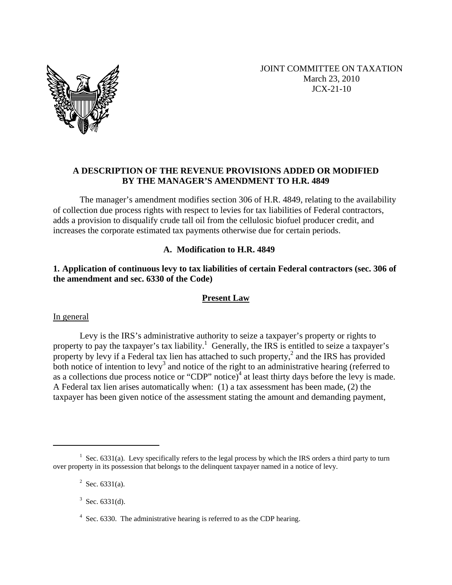

## **A DESCRIPTION OF THE REVENUE PROVISIONS ADDED OR MODIFIED BY THE MANAGER'S AMENDMENT TO H.R. 4849**

The manager's amendment modifies section 306 of H.R. 4849, relating to the availability of collection due process rights with respect to levies for tax liabilities of Federal contractors, adds a provision to disqualify crude tall oil from the cellulosic biofuel producer credit, and increases the corporate estimated tax payments otherwise due for certain periods.

## **A. Modification to H.R. 4849**

# **1. Application of continuous levy to tax liabilities of certain Federal contractors (sec. 306 of the amendment and sec. 6330 of the Code)**

## **Present Law**

In general

1

Levy is the IRS's administrative authority to seize a taxpayer's property or rights to property to pay the taxpayer's tax liability.<sup>1</sup> Generally, the IRS is entitled to seize a taxpayer's property by levy if a Federal tax lien has attached to such property,<sup>2</sup> and the IRS has provided both notice of intention to levy<sup>3</sup> and notice of the right to an administrative hearing (referred to as a collections due process notice or "CDP" notice) $\frac{3}{4}$  at least thirty days before the levy is made. A Federal tax lien arises automatically when: (1) a tax assessment has been made, (2) the taxpayer has been given notice of the assessment stating the amount and demanding payment,

<sup>&</sup>lt;sup>1</sup> Sec. 6331(a). Levy specifically refers to the legal process by which the IRS orders a third party to turn over property in its possession that belongs to the delinquent taxpayer named in a notice of levy.

 $2^2$  Sec. 6331(a).

 $3$  Sec. 6331(d).

 $4$  Sec. 6330. The administrative hearing is referred to as the CDP hearing.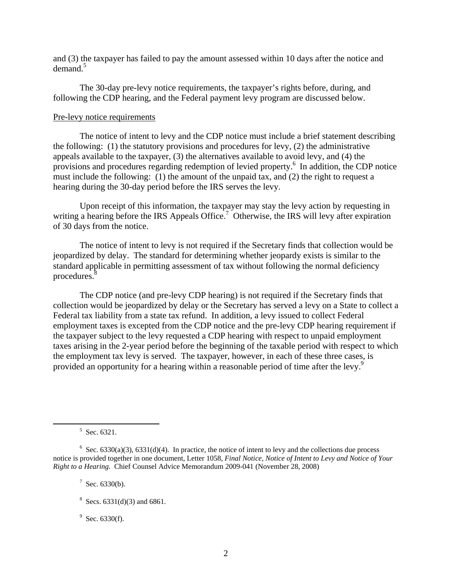and (3) the taxpayer has failed to pay the amount assessed within 10 days after the notice and  $d$ emand.<sup>5</sup>

The 30-day pre-levy notice requirements, the taxpayer's rights before, during, and following the CDP hearing, and the Federal payment levy program are discussed below.

#### Pre-levy notice requirements

The notice of intent to levy and the CDP notice must include a brief statement describing the following: (1) the statutory provisions and procedures for levy, (2) the administrative appeals available to the taxpayer, (3) the alternatives available to avoid levy, and (4) the provisions and procedures regarding redemption of levied property.<sup>6</sup> In addition, the CDP notice must include the following: (1) the amount of the unpaid tax, and (2) the right to request a hearing during the 30-day period before the IRS serves the levy.

Upon receipt of this information, the taxpayer may stay the levy action by requesting in writing a hearing before the IRS Appeals Office.<sup>7</sup> Otherwise, the IRS will levy after expiration of 30 days from the notice.

The notice of intent to levy is not required if the Secretary finds that collection would be jeopardized by delay. The standard for determining whether jeopardy exists is similar to the standard applicable in permitting assessment of tax without following the normal deficiency procedures.<sup>8</sup>

The CDP notice (and pre-levy CDP hearing) is not required if the Secretary finds that collection would be jeopardized by delay or the Secretary has served a levy on a State to collect a Federal tax liability from a state tax refund. In addition, a levy issued to collect Federal employment taxes is excepted from the CDP notice and the pre-levy CDP hearing requirement if the taxpayer subject to the levy requested a CDP hearing with respect to unpaid employment taxes arising in the 2-year period before the beginning of the taxable period with respect to which the employment tax levy is served. The taxpayer, however, in each of these three cases, is provided an opportunity for a hearing within a reasonable period of time after the levy.<sup>9</sup>

 $rac{1}{5}$  $5$  Sec. 6321.

 $7$  Sec. 6330(b).

 $9$  Sec. 6330(f).

<sup>&</sup>lt;sup>6</sup> Sec. 6330(a)(3), 6331(d)(4). In practice, the notice of intent to levy and the collections due process notice is provided together in one document, Letter 1058, *Final Notice, Notice of Intent to Levy and Notice of Your Right to a Hearing*. Chief Counsel Advice Memorandum 2009-041 (November 28, 2008)

<sup>&</sup>lt;sup>8</sup> Secs. 6331(d)(3) and 6861.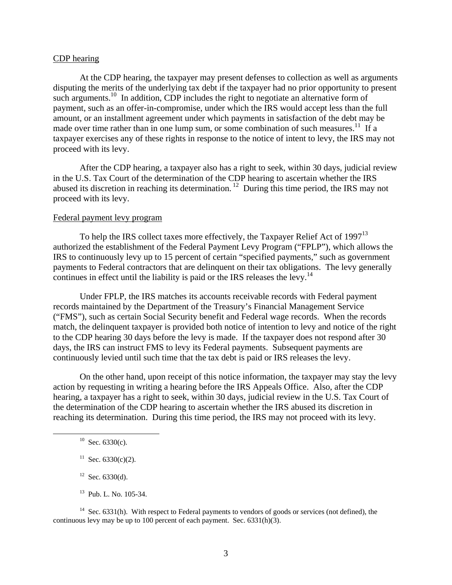### CDP hearing

At the CDP hearing, the taxpayer may present defenses to collection as well as arguments disputing the merits of the underlying tax debt if the taxpayer had no prior opportunity to present such arguments.<sup>10</sup> In addition, CDP includes the right to negotiate an alternative form of payment, such as an offer-in-compromise, under which the IRS would accept less than the full amount, or an installment agreement under which payments in satisfaction of the debt may be made over time rather than in one lump sum, or some combination of such measures.<sup>11</sup> If a taxpayer exercises any of these rights in response to the notice of intent to levy, the IRS may not proceed with its levy.

After the CDP hearing, a taxpayer also has a right to seek, within 30 days, judicial review in the U.S. Tax Court of the determination of the CDP hearing to ascertain whether the IRS abused its discretion in reaching its determination. 12 During this time period, the IRS may not proceed with its levy.

### Federal payment levy program

To help the IRS collect taxes more effectively, the Taxpayer Relief Act of 1997<sup>13</sup> authorized the establishment of the Federal Payment Levy Program ("FPLP"), which allows the IRS to continuously levy up to 15 percent of certain "specified payments," such as government payments to Federal contractors that are delinquent on their tax obligations. The levy generally continues in effect until the liability is paid or the IRS releases the levy.<sup>14</sup>

Under FPLP, the IRS matches its accounts receivable records with Federal payment records maintained by the Department of the Treasury's Financial Management Service ("FMS"), such as certain Social Security benefit and Federal wage records. When the records match, the delinquent taxpayer is provided both notice of intention to levy and notice of the right to the CDP hearing 30 days before the levy is made. If the taxpayer does not respond after 30 days, the IRS can instruct FMS to levy its Federal payments. Subsequent payments are continuously levied until such time that the tax debt is paid or IRS releases the levy.

On the other hand, upon receipt of this notice information, the taxpayer may stay the levy action by requesting in writing a hearing before the IRS Appeals Office. Also, after the CDP hearing, a taxpayer has a right to seek, within 30 days, judicial review in the U.S. Tax Court of the determination of the CDP hearing to ascertain whether the IRS abused its discretion in reaching its determination. During this time period, the IRS may not proceed with its levy.

 $12$  Sec. 6330(d).

13 Pub. L. No. 105-34.

 $14$  Sec. 6331(h). With respect to Federal payments to vendors of goods or services (not defined), the continuous levy may be up to 100 percent of each payment. Sec. 6331(h)(3).

 $10$  Sec. 6330(c).

<sup>&</sup>lt;sup>11</sup> Sec.  $6330(c)(2)$ .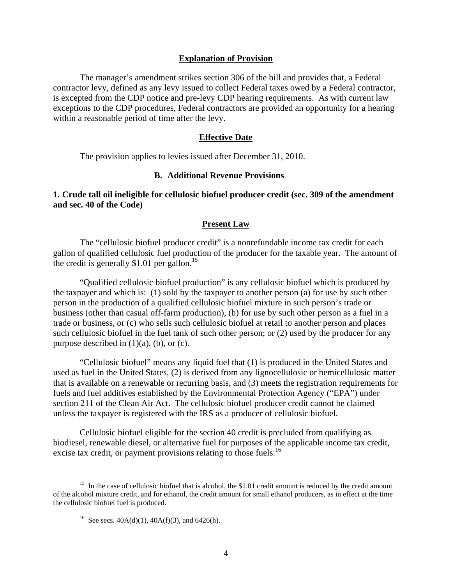#### **Explanation of Provision**

The manager's amendment strikes section 306 of the bill and provides that, a Federal contractor levy, defined as any levy issued to collect Federal taxes owed by a Federal contractor, is excepted from the CDP notice and pre-levy CDP hearing requirements. As with current law exceptions to the CDP procedures, Federal contractors are provided an opportunity for a hearing within a reasonable period of time after the levy.

#### **Effective Date**

The provision applies to levies issued after December 31, 2010.

## **B. Additional Revenue Provisions**

## **1. Crude tall oil ineligible for cellulosic biofuel producer credit (sec. 309 of the amendment and sec. 40 of the Code)**

### **Present Law**

The "cellulosic biofuel producer credit" is a nonrefundable income tax credit for each gallon of qualified cellulosic fuel production of the producer for the taxable year. The amount of the credit is generally  $$1.01$  per gallon.<sup>15</sup>

"Qualified cellulosic biofuel production" is any cellulosic biofuel which is produced by the taxpayer and which is: (1) sold by the taxpayer to another person (a) for use by such other person in the production of a qualified cellulosic biofuel mixture in such person's trade or business (other than casual off-farm production), (b) for use by such other person as a fuel in a trade or business, or (c) who sells such cellulosic biofuel at retail to another person and places such cellulosic biofuel in the fuel tank of such other person; or (2) used by the producer for any purpose described in  $(1)(a)$ ,  $(b)$ , or  $(c)$ .

"Cellulosic biofuel" means any liquid fuel that (1) is produced in the United States and used as fuel in the United States, (2) is derived from any lignocellulosic or hemicellulosic matter that is available on a renewable or recurring basis, and (3) meets the registration requirements for fuels and fuel additives established by the Environmental Protection Agency ("EPA") under section 211 of the Clean Air Act. The cellulosic biofuel producer credit cannot be claimed unless the taxpayer is registered with the IRS as a producer of cellulosic biofuel.

Cellulosic biofuel eligible for the section 40 credit is precluded from qualifying as biodiesel, renewable diesel, or alternative fuel for purposes of the applicable income tax credit, excise tax credit, or payment provisions relating to those fuels.<sup>16</sup>

<sup>&</sup>lt;sup>15</sup> In the case of cellulosic biofuel that is alcohol, the \$1.01 credit amount is reduced by the credit amount of the alcohol mixture credit, and for ethanol, the credit amount for small ethanol producers, as in effect at the time the cellulosic biofuel fuel is produced.

<sup>&</sup>lt;sup>16</sup> See secs.  $40A(d)(1)$ ,  $40A(f)(3)$ , and  $6426(h)$ .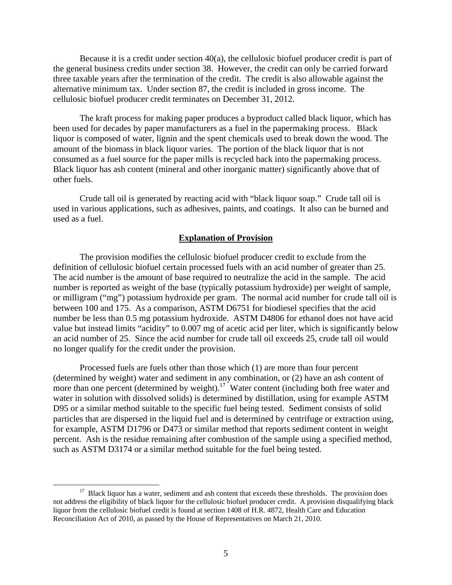Because it is a credit under section 40(a), the cellulosic biofuel producer credit is part of the general business credits under section 38. However, the credit can only be carried forward three taxable years after the termination of the credit. The credit is also allowable against the alternative minimum tax. Under section 87, the credit is included in gross income. The cellulosic biofuel producer credit terminates on December 31, 2012.

The kraft process for making paper produces a byproduct called black liquor, which has been used for decades by paper manufacturers as a fuel in the papermaking process. Black liquor is composed of water, lignin and the spent chemicals used to break down the wood. The amount of the biomass in black liquor varies. The portion of the black liquor that is not consumed as a fuel source for the paper mills is recycled back into the papermaking process. Black liquor has ash content (mineral and other inorganic matter) significantly above that of other fuels.

Crude tall oil is generated by reacting acid with "black liquor soap." Crude tall oil is used in various applications, such as adhesives, paints, and coatings. It also can be burned and used as a fuel.

#### **Explanation of Provision**

The provision modifies the cellulosic biofuel producer credit to exclude from the definition of cellulosic biofuel certain processed fuels with an acid number of greater than 25. The acid number is the amount of base required to neutralize the acid in the sample. The acid number is reported as weight of the base (typically potassium hydroxide) per weight of sample, or milligram ("mg") potassium hydroxide per gram. The normal acid number for crude tall oil is between 100 and 175. As a comparison, ASTM D6751 for biodiesel specifies that the acid number be less than 0.5 mg potassium hydroxide. ASTM D4806 for ethanol does not have acid value but instead limits "acidity" to 0.007 mg of acetic acid per liter, which is significantly below an acid number of 25. Since the acid number for crude tall oil exceeds 25, crude tall oil would no longer qualify for the credit under the provision.

Processed fuels are fuels other than those which (1) are more than four percent (determined by weight) water and sediment in any combination, or (2) have an ash content of more than one percent (determined by weight).<sup>17</sup> Water content (including both free water and water in solution with dissolved solids) is determined by distillation, using for example ASTM D95 or a similar method suitable to the specific fuel being tested. Sediment consists of solid particles that are dispersed in the liquid fuel and is determined by centrifuge or extraction using, for example, ASTM D1796 or D473 or similar method that reports sediment content in weight percent. Ash is the residue remaining after combustion of the sample using a specified method, such as ASTM D3174 or a similar method suitable for the fuel being tested.

 $17$  Black liquor has a water, sediment and ash content that exceeds these thresholds. The provision does not address the eligibility of black liquor for the cellulosic biofuel producer credit. A provision disqualifying black liquor from the cellulosic biofuel credit is found at section 1408 of H.R. 4872, Health Care and Education Reconciliation Act of 2010, as passed by the House of Representatives on March 21, 2010.